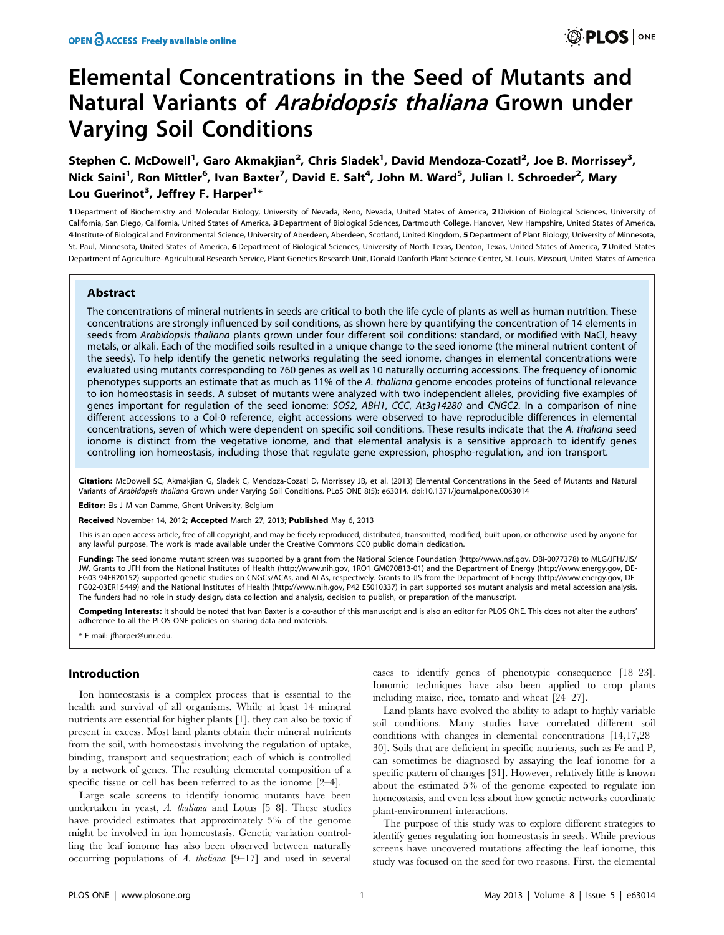# Elemental Concentrations in the Seed of Mutants and Natural Variants of Arabidopsis thaliana Grown under Varying Soil Conditions

Stephen C. McDowell<sup>1</sup>, Garo Akmakjian<sup>2</sup>, Chris Sladek<sup>1</sup>, David Mendoza-Cozatl<sup>2</sup>, Joe B. Morrissey<sup>3</sup>, Nick Saini<sup>1</sup>, Ron Mittler<sup>6</sup>, Ivan Baxter<sup>7</sup>, David E. Salt<sup>4</sup>, John M. Ward<sup>5</sup>, Julian I. Schroeder<sup>2</sup>, Mary Lou Guerinot<sup>3</sup>, Jeffrey F. Harper<sup>1</sup>\*

1 Department of Biochemistry and Molecular Biology, University of Nevada, Reno, Nevada, United States of America, 2 Division of Biological Sciences, University of California, San Diego, California, United States of America, 3 Department of Biological Sciences, Dartmouth College, Hanover, New Hampshire, United States of America, 4 Institute of Biological and Environmental Science, University of Aberdeen, Aberdeen, Scotland, United Kingdom, 5 Department of Plant Biology, University of Minnesota, St. Paul, Minnesota, United States of America, 6 Department of Biological Sciences, University of North Texas, Denton, Texas, United States of America, 7 United States Department of Agriculture–Agricultural Research Service, Plant Genetics Research Unit, Donald Danforth Plant Science Center, St. Louis, Missouri, United States of America

# Abstract

The concentrations of mineral nutrients in seeds are critical to both the life cycle of plants as well as human nutrition. These concentrations are strongly influenced by soil conditions, as shown here by quantifying the concentration of 14 elements in seeds from Arabidopsis thaliana plants grown under four different soil conditions: standard, or modified with NaCl, heavy metals, or alkali. Each of the modified soils resulted in a unique change to the seed ionome (the mineral nutrient content of the seeds). To help identify the genetic networks regulating the seed ionome, changes in elemental concentrations were evaluated using mutants corresponding to 760 genes as well as 10 naturally occurring accessions. The frequency of ionomic phenotypes supports an estimate that as much as 11% of the A. thaliana genome encodes proteins of functional relevance to ion homeostasis in seeds. A subset of mutants were analyzed with two independent alleles, providing five examples of genes important for regulation of the seed ionome: SOS2, ABH1, CCC, At3g14280 and CNGC2. In a comparison of nine different accessions to a Col-0 reference, eight accessions were observed to have reproducible differences in elemental concentrations, seven of which were dependent on specific soil conditions. These results indicate that the A. thaliana seed ionome is distinct from the vegetative ionome, and that elemental analysis is a sensitive approach to identify genes controlling ion homeostasis, including those that regulate gene expression, phospho-regulation, and ion transport.

Citation: McDowell SC, Akmakijan G, Sladek C, Mendoza-Cozatl D, Morrissey JB, et al. (2013) Elemental Concentrations in the Seed of Mutants and Natural Variants of Arabidopsis thaliana Grown under Varying Soil Conditions. PLoS ONE 8(5): e63014. doi:10.1371/journal.pone.0063014

Editor: Els J M van Damme, Ghent University, Belgium

Received November 14, 2012; Accepted March 27, 2013; Published May 6, 2013

This is an open-access article, free of all copyright, and may be freely reproduced, distributed, transmitted, modified, built upon, or otherwise used by anyone for any lawful purpose. The work is made available under the Creative Commons CC0 public domain dedication.

Funding: The seed ionome mutant screen was supported by a grant from the National Science Foundation (http://www.nsf.gov, DBI-0077378) to MLG/JFH/JIS/ JW. Grants to JFH from the National Institutes of Health (http://www.nih.gov, 1RO1 GM070813-01) and the Department of Energy (http://www.energy.gov, DE-FG03-94ER20152) supported genetic studies on CNGCs/ACAs, and ALAs, respectively. Grants to JIS from the Department of Energy (http://www.energy.gov, DE-FG02-03ER15449) and the National Institutes of Health (http://www.nih.gov, P42 ES010337) in part supported sos mutant analysis and metal accession analysis. The funders had no role in study design, data collection and analysis, decision to publish, or preparation of the manuscript.

Competing Interests: It should be noted that Ivan Baxter is a co-author of this manuscript and is also an editor for PLOS ONE. This does not alter the authors' adherence to all the PLOS ONE policies on sharing data and materials.

E-mail: jfharper@unr.edu.

# Introduction

Ion homeostasis is a complex process that is essential to the health and survival of all organisms. While at least 14 mineral nutrients are essential for higher plants [1], they can also be toxic if present in excess. Most land plants obtain their mineral nutrients from the soil, with homeostasis involving the regulation of uptake, binding, transport and sequestration; each of which is controlled by a network of genes. The resulting elemental composition of a specific tissue or cell has been referred to as the ionome [2–4].

Large scale screens to identify ionomic mutants have been undertaken in yeast, A. thaliana and Lotus [5–8]. These studies have provided estimates that approximately 5% of the genome might be involved in ion homeostasis. Genetic variation controlling the leaf ionome has also been observed between naturally occurring populations of  $A$ . thaliana  $[9-17]$  and used in several cases to identify genes of phenotypic consequence [18–23]. Ionomic techniques have also been applied to crop plants including maize, rice, tomato and wheat [24–27].

Land plants have evolved the ability to adapt to highly variable soil conditions. Many studies have correlated different soil conditions with changes in elemental concentrations [14,17,28– 30]. Soils that are deficient in specific nutrients, such as Fe and P, can sometimes be diagnosed by assaying the leaf ionome for a specific pattern of changes [31]. However, relatively little is known about the estimated 5% of the genome expected to regulate ion homeostasis, and even less about how genetic networks coordinate plant-environment interactions.

The purpose of this study was to explore different strategies to identify genes regulating ion homeostasis in seeds. While previous screens have uncovered mutations affecting the leaf ionome, this study was focused on the seed for two reasons. First, the elemental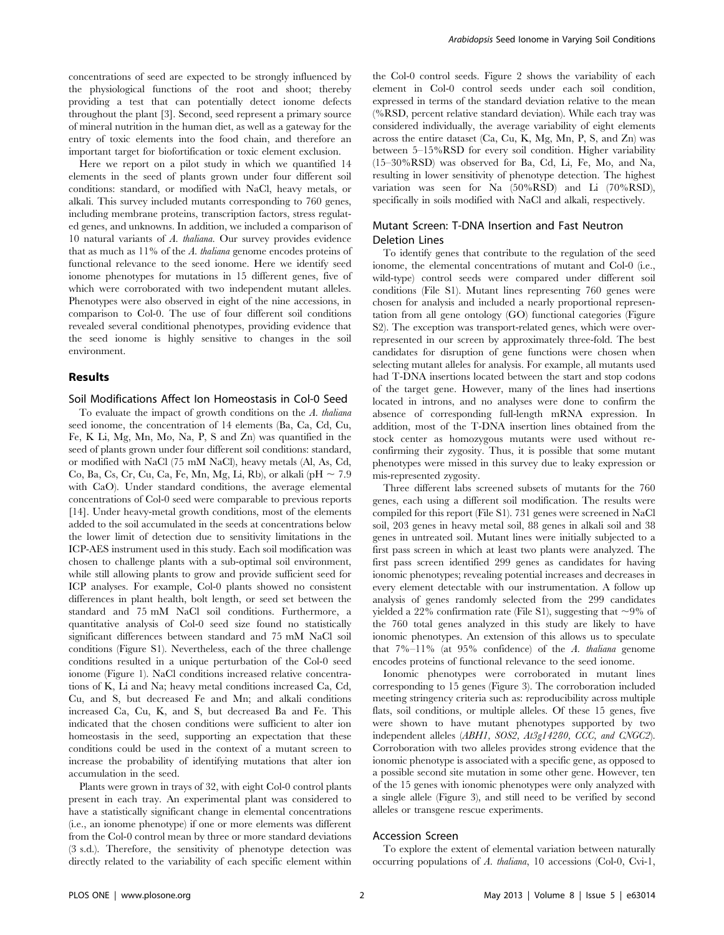concentrations of seed are expected to be strongly influenced by the physiological functions of the root and shoot; thereby providing a test that can potentially detect ionome defects throughout the plant [3]. Second, seed represent a primary source of mineral nutrition in the human diet, as well as a gateway for the entry of toxic elements into the food chain, and therefore an important target for biofortification or toxic element exclusion.

Here we report on a pilot study in which we quantified 14 elements in the seed of plants grown under four different soil conditions: standard, or modified with NaCl, heavy metals, or alkali. This survey included mutants corresponding to 760 genes, including membrane proteins, transcription factors, stress regulated genes, and unknowns. In addition, we included a comparison of 10 natural variants of A. thaliana. Our survey provides evidence that as much as 11% of the A. thaliana genome encodes proteins of functional relevance to the seed ionome. Here we identify seed ionome phenotypes for mutations in 15 different genes, five of which were corroborated with two independent mutant alleles. Phenotypes were also observed in eight of the nine accessions, in comparison to Col-0. The use of four different soil conditions revealed several conditional phenotypes, providing evidence that the seed ionome is highly sensitive to changes in the soil environment.

# Results

### Soil Modifications Affect Ion Homeostasis in Col-0 Seed

To evaluate the impact of growth conditions on the A. thaliana seed ionome, the concentration of 14 elements (Ba, Ca, Cd, Cu, Fe, K Li, Mg, Mn, Mo, Na, P, S and Zn) was quantified in the seed of plants grown under four different soil conditions: standard, or modified with NaCl (75 mM NaCl), heavy metals (Al, As, Cd, Co, Ba, Cs, Cr, Cu, Ca, Fe, Mn, Mg, Li, Rb), or alkali (pH  $\sim 7.9$ with CaO). Under standard conditions, the average elemental concentrations of Col-0 seed were comparable to previous reports [14]. Under heavy-metal growth conditions, most of the elements added to the soil accumulated in the seeds at concentrations below the lower limit of detection due to sensitivity limitations in the ICP-AES instrument used in this study. Each soil modification was chosen to challenge plants with a sub-optimal soil environment, while still allowing plants to grow and provide sufficient seed for ICP analyses. For example, Col-0 plants showed no consistent differences in plant health, bolt length, or seed set between the standard and 75 mM NaCl soil conditions. Furthermore, a quantitative analysis of Col-0 seed size found no statistically significant differences between standard and 75 mM NaCl soil conditions (Figure S1). Nevertheless, each of the three challenge conditions resulted in a unique perturbation of the Col-0 seed ionome (Figure 1). NaCl conditions increased relative concentrations of K, Li and Na; heavy metal conditions increased Ca, Cd, Cu, and S, but decreased Fe and Mn; and alkali conditions increased Ca, Cu, K, and S, but decreased Ba and Fe. This indicated that the chosen conditions were sufficient to alter ion homeostasis in the seed, supporting an expectation that these conditions could be used in the context of a mutant screen to increase the probability of identifying mutations that alter ion accumulation in the seed.

Plants were grown in trays of 32, with eight Col-0 control plants present in each tray. An experimental plant was considered to have a statistically significant change in elemental concentrations (i.e., an ionome phenotype) if one or more elements was different from the Col-0 control mean by three or more standard deviations (3 s.d.). Therefore, the sensitivity of phenotype detection was directly related to the variability of each specific element within the Col-0 control seeds. Figure 2 shows the variability of each element in Col-0 control seeds under each soil condition, expressed in terms of the standard deviation relative to the mean (%RSD, percent relative standard deviation). While each tray was considered individually, the average variability of eight elements across the entire dataset (Ca, Cu, K, Mg, Mn, P, S, and Zn) was between 5–15%RSD for every soil condition. Higher variability (15–30%RSD) was observed for Ba, Cd, Li, Fe, Mo, and Na, resulting in lower sensitivity of phenotype detection. The highest variation was seen for Na (50%RSD) and Li (70%RSD), specifically in soils modified with NaCl and alkali, respectively.

# Mutant Screen: T-DNA Insertion and Fast Neutron Deletion Lines

To identify genes that contribute to the regulation of the seed ionome, the elemental concentrations of mutant and Col-0 (i.e., wild-type) control seeds were compared under different soil conditions (File S1). Mutant lines representing 760 genes were chosen for analysis and included a nearly proportional representation from all gene ontology (GO) functional categories (Figure S2). The exception was transport-related genes, which were overrepresented in our screen by approximately three-fold. The best candidates for disruption of gene functions were chosen when selecting mutant alleles for analysis. For example, all mutants used had T-DNA insertions located between the start and stop codons of the target gene. However, many of the lines had insertions located in introns, and no analyses were done to confirm the absence of corresponding full-length mRNA expression. In addition, most of the T-DNA insertion lines obtained from the stock center as homozygous mutants were used without reconfirming their zygosity. Thus, it is possible that some mutant phenotypes were missed in this survey due to leaky expression or mis-represented zygosity.

Three different labs screened subsets of mutants for the 760 genes, each using a different soil modification. The results were compiled for this report (File S1). 731 genes were screened in NaCl soil, 203 genes in heavy metal soil, 88 genes in alkali soil and 38 genes in untreated soil. Mutant lines were initially subjected to a first pass screen in which at least two plants were analyzed. The first pass screen identified 299 genes as candidates for having ionomic phenotypes; revealing potential increases and decreases in every element detectable with our instrumentation. A follow up analysis of genes randomly selected from the 299 candidates yielded a 22% confirmation rate (File S1), suggesting that  $\sim$ 9% of the 760 total genes analyzed in this study are likely to have ionomic phenotypes. An extension of this allows us to speculate that 7%–11% (at 95% confidence) of the A. thaliana genome encodes proteins of functional relevance to the seed ionome.

Ionomic phenotypes were corroborated in mutant lines corresponding to 15 genes (Figure 3). The corroboration included meeting stringency criteria such as: reproducibility across multiple flats, soil conditions, or multiple alleles. Of these 15 genes, five were shown to have mutant phenotypes supported by two independent alleles (ABH1, SOS2, At3g14280, CCC, and CNGC2). Corroboration with two alleles provides strong evidence that the ionomic phenotype is associated with a specific gene, as opposed to a possible second site mutation in some other gene. However, ten of the 15 genes with ionomic phenotypes were only analyzed with a single allele (Figure 3), and still need to be verified by second alleles or transgene rescue experiments.

### Accession Screen

To explore the extent of elemental variation between naturally occurring populations of A. thaliana, 10 accessions (Col-0, Cvi-1,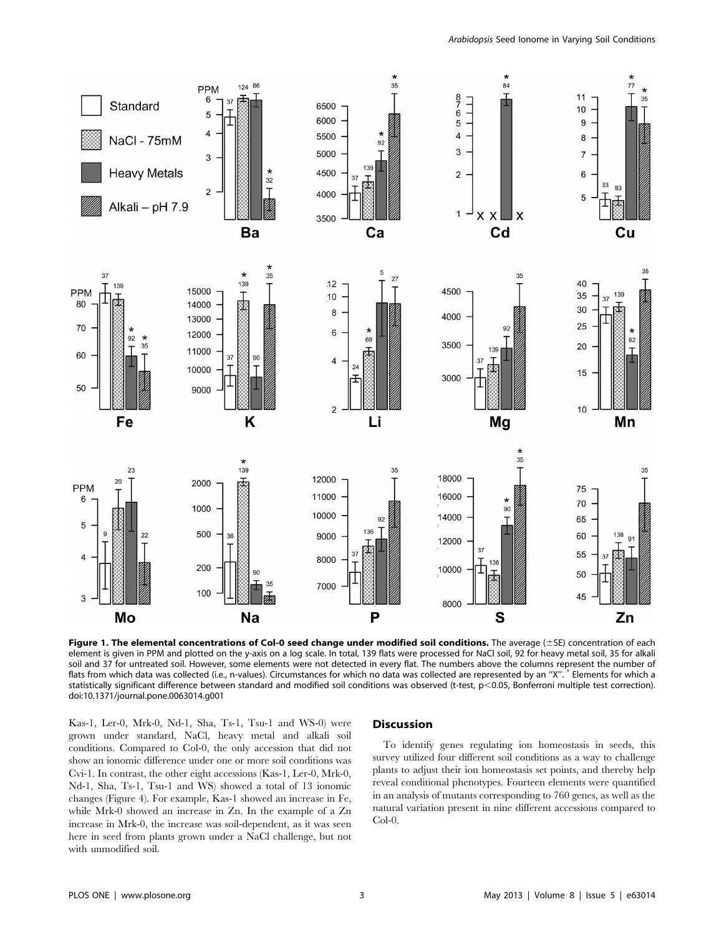

Figure 1. The elemental concentrations of Col-0 seed change under modified soil conditions. The average  $(\pm 5E)$  concentration of each element is given in PPM and plotted on the y-axis on a log scale. In total, 139 flats were processed for NaCl soil, 92 for heavy metal soil, 35 for alkali soil and 37 for untreated soil. However, some elements were not detected in every flat. The numbers above the columns represent the number of flats from which data was collected (i.e., n-values). Circumstances for which no data was collected are represented by an "X". \* Elements for which a statistically significant difference between standard and modified soil conditions was observed (t-test, p<0.05, Bonferroni multiple test correction). doi:10.1371/journal.pone.0063014.g001

Kas-1, Ler-0, Mrk-0, Nd-1, Sha, Ts-1, Tsu-1 and WS-0) were grown under standard, NaCl, heavy metal and alkali soil conditions. Compared to Col-0, the only accession that did not show an ionomic difference under one or more soil conditions was Cvi-1. In contrast, the other eight accessions (Kas-1, Ler-0, Mrk-0, Nd-1, Sha, Ts-1, Tsu-1 and WS) showed a total of 13 ionomic changes (Figure 4). For example, Kas-1 showed an increase in Fe, while Mrk-0 showed an increase in Zn. In the example of a Zn increase in Mrk-0, the increase was soil-dependent, as it was seen here in seed from plants grown under a NaCl challenge, but not with unmodified soil.

## Discussion

To identify genes regulating ion homeostasis in seeds, this survey utilized four different soil conditions as a way to challenge plants to adjust their ion homeostasis set points, and thereby help reveal conditional phenotypes. Fourteen elements were quantified in an analysis of mutants corresponding to 760 genes, as well as the natural variation present in nine different accessions compared to Col-0.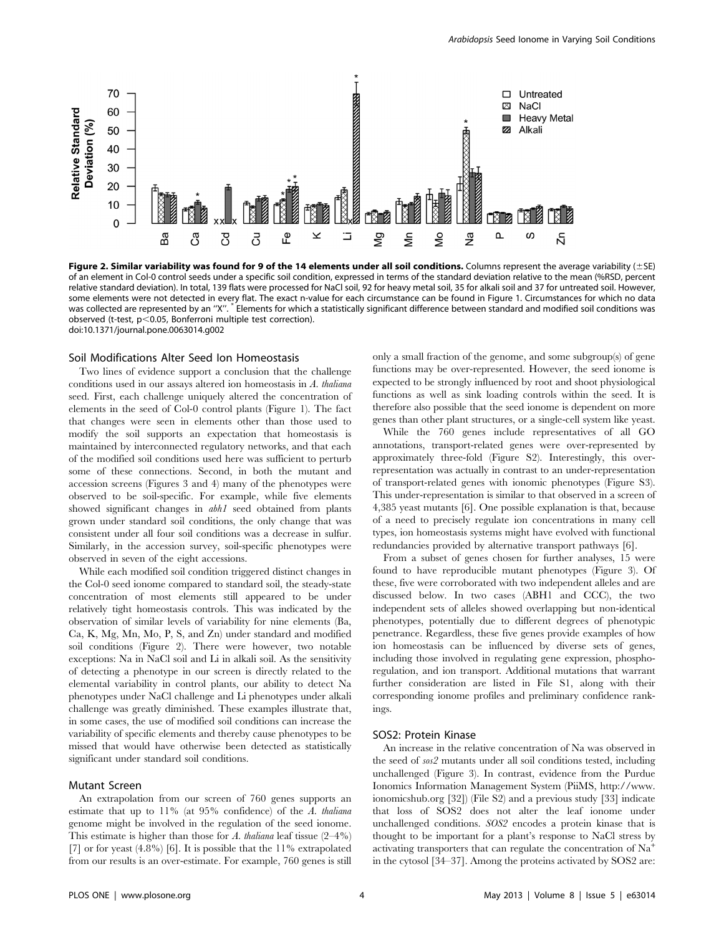

Figure 2. Similar variability was found for 9 of the 14 elements under all soil conditions. Columns represent the average variability  $(\pm S)$ of an element in Col-0 control seeds under a specific soil condition, expressed in terms of the standard deviation relative to the mean (%RSD, percent relative standard deviation). In total, 139 flats were processed for NaCl soil, 92 for heavy metal soil, 35 for alkali soil and 37 for untreated soil. However, some elements were not detected in every flat. The exact n-value for each circumstance can be found in Figure 1. Circumstances for which no data was collected are represented by an "X". \*Elements for which a statistically significant difference between standard and modified soil conditions was observed (t-test,  $p<0.05$ , Bonferroni multiple test correction). doi:10.1371/journal.pone.0063014.g002

#### Soil Modifications Alter Seed Ion Homeostasis

Two lines of evidence support a conclusion that the challenge conditions used in our assays altered ion homeostasis in A. thaliana seed. First, each challenge uniquely altered the concentration of elements in the seed of Col-0 control plants (Figure 1). The fact that changes were seen in elements other than those used to modify the soil supports an expectation that homeostasis is maintained by interconnected regulatory networks, and that each of the modified soil conditions used here was sufficient to perturb some of these connections. Second, in both the mutant and accession screens (Figures 3 and 4) many of the phenotypes were observed to be soil-specific. For example, while five elements showed significant changes in abh1 seed obtained from plants grown under standard soil conditions, the only change that was consistent under all four soil conditions was a decrease in sulfur. Similarly, in the accession survey, soil-specific phenotypes were observed in seven of the eight accessions.

While each modified soil condition triggered distinct changes in the Col-0 seed ionome compared to standard soil, the steady-state concentration of most elements still appeared to be under relatively tight homeostasis controls. This was indicated by the observation of similar levels of variability for nine elements (Ba, Ca, K, Mg, Mn, Mo, P, S, and Zn) under standard and modified soil conditions (Figure 2). There were however, two notable exceptions: Na in NaCl soil and Li in alkali soil. As the sensitivity of detecting a phenotype in our screen is directly related to the elemental variability in control plants, our ability to detect Na phenotypes under NaCl challenge and Li phenotypes under alkali challenge was greatly diminished. These examples illustrate that, in some cases, the use of modified soil conditions can increase the variability of specific elements and thereby cause phenotypes to be missed that would have otherwise been detected as statistically significant under standard soil conditions.

## Mutant Screen

An extrapolation from our screen of 760 genes supports an estimate that up to 11% (at 95% confidence) of the A. thaliana genome might be involved in the regulation of the seed ionome. This estimate is higher than those for A. thaliana leaf tissue  $(2-4\%)$ [7] or for yeast  $(4.8\%)$  [6]. It is possible that the 11% extrapolated from our results is an over-estimate. For example, 760 genes is still only a small fraction of the genome, and some subgroup(s) of gene functions may be over-represented. However, the seed ionome is expected to be strongly influenced by root and shoot physiological functions as well as sink loading controls within the seed. It is therefore also possible that the seed ionome is dependent on more genes than other plant structures, or a single-cell system like yeast.

While the 760 genes include representatives of all GO annotations, transport-related genes were over-represented by approximately three-fold (Figure S2). Interestingly, this overrepresentation was actually in contrast to an under-representation of transport-related genes with ionomic phenotypes (Figure S3). This under-representation is similar to that observed in a screen of 4,385 yeast mutants [6]. One possible explanation is that, because of a need to precisely regulate ion concentrations in many cell types, ion homeostasis systems might have evolved with functional redundancies provided by alternative transport pathways [6].

From a subset of genes chosen for further analyses, 15 were found to have reproducible mutant phenotypes (Figure 3). Of these, five were corroborated with two independent alleles and are discussed below. In two cases (ABH1 and CCC), the two independent sets of alleles showed overlapping but non-identical phenotypes, potentially due to different degrees of phenotypic penetrance. Regardless, these five genes provide examples of how ion homeostasis can be influenced by diverse sets of genes, including those involved in regulating gene expression, phosphoregulation, and ion transport. Additional mutations that warrant further consideration are listed in File S1, along with their corresponding ionome profiles and preliminary confidence rankings.

#### SOS2: Protein Kinase

An increase in the relative concentration of Na was observed in the seed of sos2 mutants under all soil conditions tested, including unchallenged (Figure 3). In contrast, evidence from the Purdue Ionomics Information Management System (PiiMS, http://www. ionomicshub.org [32]) (File S2) and a previous study [33] indicate that loss of SOS2 does not alter the leaf ionome under unchallenged conditions. SOS2 encodes a protein kinase that is thought to be important for a plant's response to NaCl stress by activating transporters that can regulate the concentration of  $\mathrm{Na}^+$ in the cytosol [34–37]. Among the proteins activated by SOS2 are: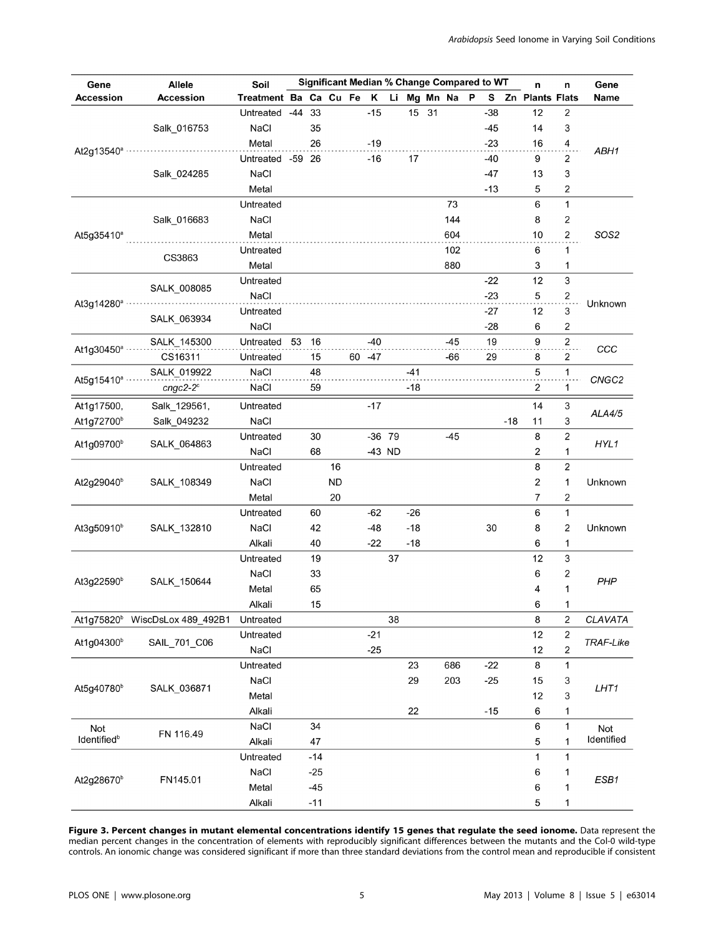| Gene                                                    | <b>Allele</b>                              | Significant Median % Change Compared to WT<br>Soil<br>n |       |       |           |  |          |      |       |    |          | n | Gene  |       |                         |                |                   |
|---------------------------------------------------------|--------------------------------------------|---------------------------------------------------------|-------|-------|-----------|--|----------|------|-------|----|----------|---|-------|-------|-------------------------|----------------|-------------------|
| <b>Accession</b>                                        | <b>Accession</b>                           | Treatment Ba Ca Cu Fe K                                 |       |       |           |  |          | Li . |       |    | Mg Mn Na | P | S.    |       | Zn Plants Flats         |                | Name              |
| At2g13540 <sup>a</sup> ································ | Salk_016753                                | Untreated                                               | $-44$ | 33    |           |  | $-15$    |      | 15    | 31 |          |   | $-38$ |       | 12                      | 2              | ABH1              |
|                                                         |                                            | NaCl                                                    |       | 35    |           |  |          |      |       |    |          |   | $-45$ |       | 14                      | 3              |                   |
|                                                         |                                            | Metal                                                   |       | 26    |           |  | $-19$    |      |       |    |          |   | $-23$ |       | 16                      | 4              |                   |
|                                                         |                                            | Untreated -59 26                                        |       |       |           |  | $-16$    |      | 17    |    |          |   | $-40$ |       | 9                       | 2              |                   |
|                                                         | Salk_024285                                | NaCl                                                    |       |       |           |  |          |      |       |    |          |   | $-47$ |       | 13                      | 3              |                   |
|                                                         |                                            | Metal                                                   |       |       |           |  |          |      |       |    |          |   | $-13$ |       | 5                       | $\mathbf 2$    |                   |
| At5g35410 <sup>ª</sup>                                  |                                            | Untreated                                               |       |       |           |  |          |      |       |    | 73       |   |       |       | 6                       | 1              |                   |
|                                                         | Salk_016683                                | NaCl                                                    |       |       |           |  |          |      |       |    | 144      |   |       |       | 8                       | 2              |                   |
|                                                         |                                            | Metal                                                   |       |       |           |  |          |      |       |    | 604      |   |       |       | 10                      | $\mathbf 2$    | SOS2              |
|                                                         |                                            | Untreated                                               |       |       |           |  |          |      |       |    | 102      |   |       |       | 6                       | 1              |                   |
|                                                         | CS3863                                     | Metal                                                   |       |       |           |  |          |      |       |    | 880      |   |       |       | 3                       | 1              |                   |
|                                                         | SALK_008085<br>SALK_063934                 | Untreated                                               |       |       |           |  |          |      |       |    |          |   | $-22$ |       | 12                      | 3              | Unknown           |
|                                                         |                                            | NaCl                                                    |       |       |           |  |          |      |       |    |          |   | $-23$ |       | 5                       | $\overline{a}$ |                   |
| At3g14280 <sup>a</sup> ···                              |                                            | Untreated                                               |       |       |           |  |          |      |       |    |          |   | $-27$ |       | 12                      | 3              |                   |
|                                                         |                                            | NaCl                                                    |       |       |           |  |          |      |       |    |          |   | $-28$ |       | 6                       | 2              |                   |
|                                                         | SALK_145300                                | Untreated                                               | 53    | 16    |           |  | $-40$    |      |       |    | $-45$    |   | 19    |       | 9                       | $\overline{a}$ |                   |
| At1g30450 <sup>a</sup>                                  | CS16311                                    | Untreated                                               |       | 15    |           |  | 60 - 47  |      |       |    | -66      |   | 29    |       | 8                       | 2              | CCC               |
|                                                         | SALK 019922                                | NaCl                                                    |       | 48    |           |  |          |      | -41   |    |          |   |       |       | 5                       | 1              |                   |
| At5g15410 <sup>a</sup>                                  | $cngc2-2°$                                 | NaCl                                                    |       | 59    |           |  |          |      | $-18$ |    |          |   |       |       | $\overline{\mathbf{c}}$ | 1              | CNGC <sub>2</sub> |
|                                                         |                                            |                                                         |       |       |           |  |          |      |       |    |          |   |       |       |                         |                |                   |
| At1g17500,                                              | Salk_129561,                               | Untreated                                               |       |       |           |  | $-17$    |      |       |    |          |   |       |       | 14                      | 3              | ALA4/5            |
| At1g72700 <sup>b</sup>                                  | Salk_049232                                | NaCl                                                    |       |       |           |  |          |      |       |    |          |   |       | $-18$ | 11                      | 3              |                   |
| At1g09700 <sup>b</sup>                                  | SALK 064863                                | Untreated                                               |       | 30    |           |  | $-36$ 79 |      |       |    | $-45$    |   |       |       | 8                       | $\mathbf 2$    | HYL1              |
|                                                         |                                            | NaCl                                                    |       | 68    |           |  | -43 ND   |      |       |    |          |   |       |       | 2                       | 1              |                   |
|                                                         | SALK_108349                                | Untreated                                               |       |       | 16        |  |          |      |       |    |          |   |       |       | 8                       | 2              | Unknown           |
| At2g29040 <sup>b</sup>                                  |                                            | NaCl                                                    |       |       | <b>ND</b> |  |          |      |       |    |          |   |       |       | 2                       | 1              |                   |
|                                                         |                                            | Metal                                                   |       |       | 20        |  |          |      |       |    |          |   |       |       | 7                       | 2              |                   |
|                                                         | SALK_132810                                | Untreated                                               |       | 60    |           |  | $-62$    |      | $-26$ |    |          |   |       |       | 6                       | $\mathbf{1}$   | Unknown           |
| At3g50910 <sup>b</sup>                                  |                                            | NaCl                                                    |       | 42    |           |  | $-48$    |      | $-18$ |    |          |   | 30    |       | 8                       | 2              |                   |
|                                                         |                                            | Alkali                                                  |       | 40    |           |  | $-22$    |      | $-18$ |    |          |   |       |       | 6                       | 1              |                   |
| At3g22590 <sup>b</sup>                                  | SALK_150644                                | Untreated                                               |       | 19    |           |  |          | 37   |       |    |          |   |       |       | 12                      | 3              | PHP               |
|                                                         |                                            | NaCl                                                    |       | 33    |           |  |          |      |       |    |          |   |       |       | 6                       | 2              |                   |
|                                                         |                                            | Metal                                                   |       | 65    |           |  |          |      |       |    |          |   |       |       | 4                       | 1              |                   |
|                                                         |                                            | Alkali                                                  |       | 15    |           |  |          |      |       |    |          |   |       |       | 6                       | 1              |                   |
|                                                         | At1g75820 <sup>b</sup> WiscDsLox 489_492B1 | Untreated                                               |       |       |           |  |          | 38   |       |    |          |   |       |       | 8                       | 2              | CLAVATA           |
| At1g04300 <sup>b</sup>                                  | SAIL_701_C06                               | Untreated                                               |       |       |           |  | $-21$    |      |       |    |          |   |       |       | 12                      | $\mathbf 2$    | TRAF-Like         |
|                                                         |                                            | NaCl                                                    |       |       |           |  | $-25$    |      |       |    |          |   |       |       | 12                      | $\sqrt{2}$     |                   |
| At5g40780 <sup>b</sup>                                  | SALK_036871                                | Untreated                                               |       |       |           |  |          |      | 23    |    | 686      |   | $-22$ |       | 8                       | 1              | LHT1              |
|                                                         |                                            | NaCl                                                    |       |       |           |  |          |      | 29    |    | 203      |   | $-25$ |       | 15                      | 3              |                   |
|                                                         |                                            | Metal                                                   |       |       |           |  |          |      |       |    |          |   |       |       | 12                      | 3              |                   |
|                                                         |                                            | Alkali                                                  |       |       |           |  |          |      | 22    |    |          |   | $-15$ |       | 6                       | 1              |                   |
| Not                                                     | FN 116.49                                  | NaCl                                                    |       | 34    |           |  |          |      |       |    |          |   |       |       | 6                       | 1              | Not               |
| Identified <sup>b</sup>                                 |                                            | Alkali                                                  |       | 47    |           |  |          |      |       |    |          |   |       |       | 5                       | 1              | Identified        |
| At2g28670 <sup>b</sup>                                  | FN145.01                                   | Untreated                                               |       | $-14$ |           |  |          |      |       |    |          |   |       |       | 1                       | 1              | ESB1              |
|                                                         |                                            | NaCl                                                    |       | $-25$ |           |  |          |      |       |    |          |   |       |       | 6                       | 1              |                   |
|                                                         |                                            | Metal                                                   |       | $-45$ |           |  |          |      |       |    |          |   |       |       | 6                       | 1              |                   |
|                                                         |                                            | Alkali                                                  |       | $-11$ |           |  |          |      |       |    |          |   |       |       | 5                       | 1              |                   |
|                                                         |                                            |                                                         |       |       |           |  |          |      |       |    |          |   |       |       |                         |                |                   |

Figure 3. Percent changes in mutant elemental concentrations identify 15 genes that regulate the seed ionome. Data represent the median percent changes in the concentration of elements with reproducibly significant differences between the mutants and the Col-0 wild-type controls. An ionomic change was considered significant if more than three standard deviations from the control mean and reproducible if consistent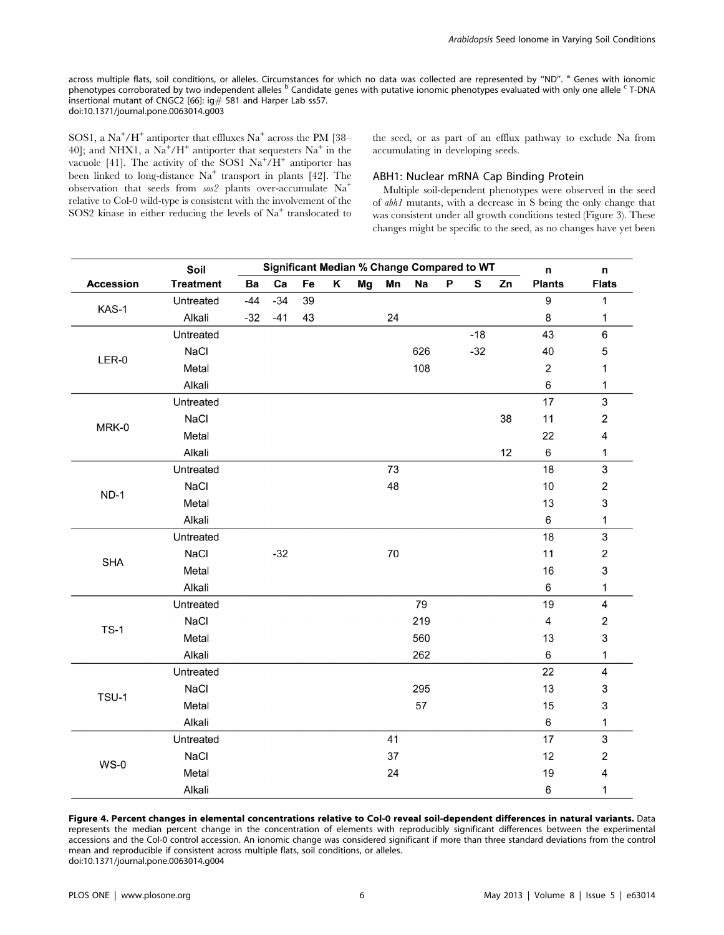across multiple flats, soil conditions, or alleles. Circumstances for which no data was collected are represented by "ND". <sup>a</sup> Genes with ionomic phenotypes corroborated by two independent alleles <sup>b</sup> Candidate genes with putative ionomic phenotypes evaluated with only one allele <sup>c</sup> T-DNA insertional mutant of CNGC2 [66]: ig# 581 and Harper Lab ss57. doi:10.1371/journal.pone.0063014.g003

SOS1, a Na<sup>+</sup>/H<sup>+</sup> antiporter that effluxes Na<sup>+</sup> across the PM [38– 40]; and NHX1, a  $\text{Na}^+/\text{H}^+$  antiporter that sequesters  $\text{Na}^+$  in the vacuole [41]. The activity of the SOS1  $\mathrm{Na^+}/\mathrm{H^+}$  antiporter has been linked to long-distance  $Na<sup>+</sup>$  transport in plants [42]. The observation that seeds from sos2 plants over-accumulate Na<sup>+</sup> relative to Col-0 wild-type is consistent with the involvement of the SOS2 kinase in either reducing the levels of  $Na<sup>+</sup>$  translocated to the seed, or as part of an efflux pathway to exclude Na from accumulating in developing seeds.

#### ABH1: Nuclear mRNA Cap Binding Protein

Multiple soil-dependent phenotypes were observed in the seed of abh1 mutants, with a decrease in S being the only change that was consistent under all growth conditions tested (Figure 3). These changes might be specific to the seed, as no changes have yet been

|                  | Soil             |       | <b>Significant Median % Change Compared to WT</b> | n  | n |    |    |     |   |       |    |                         |                           |
|------------------|------------------|-------|---------------------------------------------------|----|---|----|----|-----|---|-------|----|-------------------------|---------------------------|
| <b>Accession</b> | <b>Treatment</b> | Ba    | Ca                                                | Fe | Κ | Mg | Mn | Na  | P | S     | Zn | <b>Plants</b>           | <b>Flats</b>              |
| KAS-1            | Untreated        | $-44$ | $-34$                                             | 39 |   |    |    |     |   |       |    | 9                       | $\mathbf{1}$              |
|                  | Alkali           | $-32$ | $-41$                                             | 43 |   |    | 24 |     |   |       |    | 8                       | 1                         |
|                  | Untreated        |       |                                                   |    |   |    |    |     |   | $-18$ |    | 43                      | 6                         |
|                  | NaCl             |       |                                                   |    |   |    |    | 626 |   | $-32$ |    | 40                      | 5                         |
| $LER-0$          | Metal            |       |                                                   |    |   |    |    | 108 |   |       |    | $\overline{2}$          | 1                         |
|                  | Alkali           |       |                                                   |    |   |    |    |     |   |       |    | 6                       | 1                         |
|                  | Untreated        |       |                                                   |    |   |    |    |     |   |       |    | 17                      | 3                         |
|                  | NaCl             |       |                                                   |    |   |    |    |     |   |       | 38 | 11                      | $\mathbf 2$               |
| MRK-0            | Metal            |       |                                                   |    |   |    |    |     |   |       |    | 22                      | 4                         |
|                  | Alkali           |       |                                                   |    |   |    |    |     |   |       | 12 | 6                       | 1                         |
|                  | Untreated        |       |                                                   |    |   |    | 73 |     |   |       |    | 18                      | $\mathbf{3}$              |
|                  | NaCl             |       |                                                   |    |   |    | 48 |     |   |       |    | 10                      | $\mathbf 2$               |
| $ND-1$           | Metal            |       |                                                   |    |   |    |    |     |   |       |    | 13                      | 3                         |
|                  | Alkali           |       |                                                   |    |   |    |    |     |   |       |    | 6                       | 1                         |
|                  | Untreated        |       |                                                   |    |   |    |    |     |   |       |    | 18                      | $\mathfrak{S}$            |
|                  | NaCl             |       | $-32$                                             |    |   |    | 70 |     |   |       |    | 11                      | $\overline{2}$            |
| <b>SHA</b>       | Metal            |       |                                                   |    |   |    |    |     |   |       |    | 16                      | 3                         |
|                  | Alkali           |       |                                                   |    |   |    |    |     |   |       |    | 6                       | $\mathbf{1}$              |
|                  | Untreated        |       |                                                   |    |   |    |    | 79  |   |       |    | 19                      | $\overline{\mathbf{4}}$   |
|                  | NaCl             |       |                                                   |    |   |    |    | 219 |   |       |    | $\overline{\mathbf{4}}$ | $\mathbf 2$               |
| $TS-1$           | Metal            |       |                                                   |    |   |    |    | 560 |   |       |    | 13                      | 3                         |
|                  | Alkali           |       |                                                   |    |   |    |    | 262 |   |       |    | 6                       | 1                         |
|                  | Untreated        |       |                                                   |    |   |    |    |     |   |       |    | 22                      | $\overline{\mathbf{4}}$   |
|                  | NaCl             |       |                                                   |    |   |    |    | 295 |   |       |    | 13                      | 3                         |
| TSU-1            | Metal            |       |                                                   |    |   |    |    | 57  |   |       |    | 15                      | $\ensuremath{\mathsf{3}}$ |
|                  | Alkali           |       |                                                   |    |   |    |    |     |   |       |    | $\,6$                   | 1                         |
|                  | Untreated        |       |                                                   |    |   |    | 41 |     |   |       |    | 17                      | $\sqrt{3}$                |
|                  | NaCl             |       |                                                   |    |   |    | 37 |     |   |       |    | 12                      | $\mathbf 2$               |
| $WS-0$           | Metal            |       |                                                   |    |   |    | 24 |     |   |       |    | 19                      | 4                         |
|                  | Alkali           |       |                                                   |    |   |    |    |     |   |       |    | 6                       | 1                         |

Figure 4. Percent changes in elemental concentrations relative to Col-0 reveal soil-dependent differences in natural variants. Data represents the median percent change in the concentration of elements with reproducibly significant differences between the experimental accessions and the Col-0 control accession. An ionomic change was considered significant if more than three standard deviations from the control mean and reproducible if consistent across multiple flats, soil conditions, or alleles. doi:10.1371/journal.pone.0063014.g004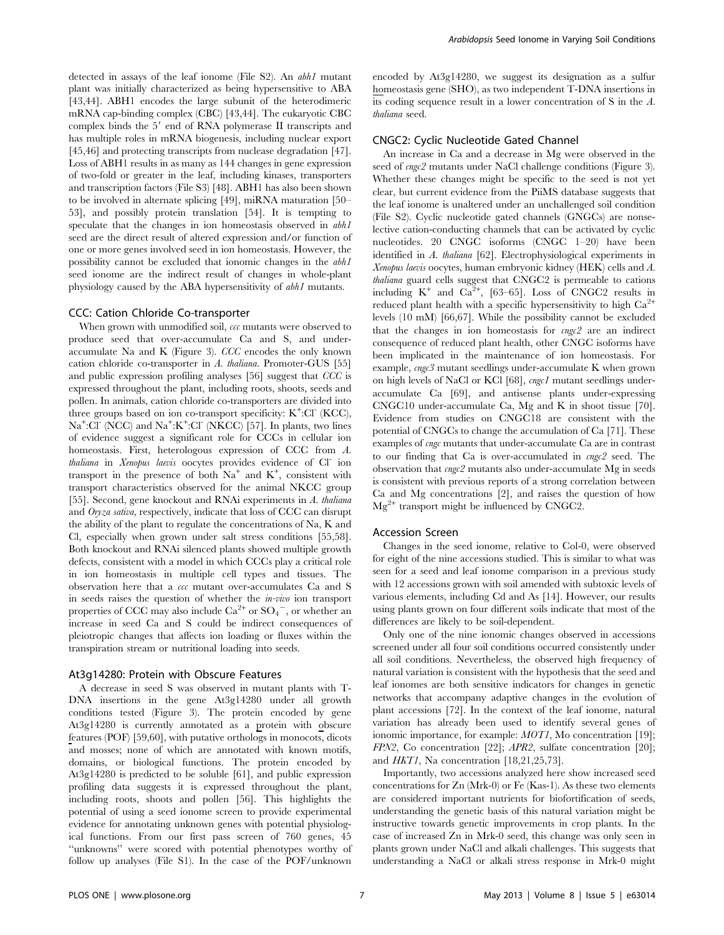detected in assays of the leaf ionome (File S2). An abh1 mutant plant was initially characterized as being hypersensitive to ABA [43,44]. ABH1 encodes the large subunit of the heterodimeric mRNA cap-binding complex (CBC) [43,44]. The eukaryotic CBC complex binds the 5' end of RNA polymerase II transcripts and has multiple roles in mRNA biogenesis, including nuclear export [45,46] and protecting transcripts from nuclease degradation [47]. Loss of ABH1 results in as many as 144 changes in gene expression of two-fold or greater in the leaf, including kinases, transporters and transcription factors (File S3) [48]. ABH1 has also been shown to be involved in alternate splicing [49], miRNA maturation [50– 53], and possibly protein translation [54]. It is tempting to speculate that the changes in ion homeostasis observed in abh1 seed are the direct result of altered expression and/or function of one or more genes involved seed in ion homeostasis. However, the possibility cannot be excluded that ionomic changes in the abh1 seed ionome are the indirect result of changes in whole-plant physiology caused by the ABA hypersensitivity of abh1 mutants.

#### CCC: Cation Chloride Co-transporter

When grown with unmodified soil,  $cc$  mutants were observed to produce seed that over-accumulate Ca and S, and underaccumulate Na and K (Figure 3). CCC encodes the only known cation chloride co-transporter in A. thaliana. Promoter-GUS [55] and public expression profiling analyses [56] suggest that CCC is expressed throughout the plant, including roots, shoots, seeds and pollen. In animals, cation chloride co-transporters are divided into three groups based on ion co-transport specificity:  $K^+$ :Cl<sup>-</sup> (KCC), Na<sup>+</sup>:Cl<sup>-</sup> (NCC) and Na<sup>+</sup>:K<sup>+</sup>:Cl<sup>-</sup> (NKCC) [57]. In plants, two lines of evidence suggest a significant role for CCCs in cellular ion homeostasis. First, heterologous expression of CCC from A. thaliana in Xenopus laevis oocytes provides evidence of Cl- ion transport in the presence of both  $Na^+$  and  $K^+$ , consistent with transport characteristics observed for the animal NKCC group [55]. Second, gene knockout and RNAi experiments in A. thaliana and Oryza sativa, respectively, indicate that loss of CCC can disrupt the ability of the plant to regulate the concentrations of Na, K and Cl, especially when grown under salt stress conditions [55,58]. Both knockout and RNAi silenced plants showed multiple growth defects, consistent with a model in which CCCs play a critical role in ion homeostasis in multiple cell types and tissues. The observation here that a ccc mutant over-accumulates Ca and S in seeds raises the question of whether the in-vivo ion transport properties of CCC may also include  $Ca^{2+}$  or  $SO_4^-$ , or whether an increase in seed Ca and S could be indirect consequences of pleiotropic changes that affects ion loading or fluxes within the transpiration stream or nutritional loading into seeds.

## At3g14280: Protein with Obscure Features

A decrease in seed S was observed in mutant plants with T-DNA insertions in the gene At3g14280 under all growth conditions tested (Figure 3). The protein encoded by gene At3g14280 is currently annotated as a protein with obscure features (POF) [59,60], with putative orthologs in monocots, dicots and mosses; none of which are annotated with known motifs, domains, or biological functions. The protein encoded by At3g14280 is predicted to be soluble [61], and public expression profiling data suggests it is expressed throughout the plant, including roots, shoots and pollen [56]. This highlights the potential of using a seed ionome screen to provide experimental evidence for annotating unknown genes with potential physiological functions. From our first pass screen of 760 genes, 45 ''unknowns'' were scored with potential phenotypes worthy of follow up analyses (File S1). In the case of the POF/unknown encoded by At3g14280, we suggest its designation as a sulfur homeostasis gene (SHO), as two independent T-DNA insertions in its coding sequence result in a lower concentration of S in the A. thaliana seed.

## CNGC2: Cyclic Nucleotide Gated Channel

An increase in Ca and a decrease in Mg were observed in the seed of cngc2 mutants under NaCl challenge conditions (Figure 3). Whether these changes might be specific to the seed is not yet clear, but current evidence from the PiiMS database suggests that the leaf ionome is unaltered under an unchallenged soil condition (File S2). Cyclic nucleotide gated channels (GNGCs) are nonselective cation-conducting channels that can be activated by cyclic nucleotides. 20 CNGC isoforms (CNGC 1–20) have been identified in A. thaliana [62]. Electrophysiological experiments in Xenopus laevis oocytes, human embryonic kidney (HEK) cells and A. thaliana guard cells suggest that CNGC2 is permeable to cations including  $K^+$  and  $Ca^{\frac{5}{2}+}$ , [63–65]. Loss of CNGC2 results in reduced plant health with a specific hypersensitivity to high  $Ca<sup>2+</sup>$ levels (10 mM) [66,67]. While the possibility cannot be excluded that the changes in ion homeostasis for cngc2 are an indirect consequence of reduced plant health, other CNGC isoforms have been implicated in the maintenance of ion homeostasis. For example, cngc3 mutant seedlings under-accumulate K when grown on high levels of NaCl or KCl [68], cngc1 mutant seedlings underaccumulate Ca [69], and antisense plants under-expressing CNGC10 under-accumulate Ca, Mg and K in shoot tissue [70]. Evidence from studies on CNGC18 are consistent with the potential of CNGCs to change the accumulation of Ca [71]. These examples of cngc mutants that under-accumulate Ca are in contrast to our finding that Ca is over-accumulated in cngc2 seed. The observation that cngc2 mutants also under-accumulate Mg in seeds is consistent with previous reports of a strong correlation between Ca and Mg concentrations [2], and raises the question of how  $Mg^{2+}$  transport might be influenced by CNGC2.

#### Accession Screen

Changes in the seed ionome, relative to Col-0, were observed for eight of the nine accessions studied. This is similar to what was seen for a seed and leaf ionome comparison in a previous study with 12 accessions grown with soil amended with subtoxic levels of various elements, including Cd and As [14]. However, our results using plants grown on four different soils indicate that most of the differences are likely to be soil-dependent.

Only one of the nine ionomic changes observed in accessions screened under all four soil conditions occurred consistently under all soil conditions. Nevertheless, the observed high frequency of natural variation is consistent with the hypothesis that the seed and leaf ionomes are both sensitive indicators for changes in genetic networks that accompany adaptive changes in the evolution of plant accessions [72]. In the context of the leaf ionome, natural variation has already been used to identify several genes of ionomic importance, for example: MOT1, Mo concentration [19]; FPN2, Co concentration [22]; APR2, sulfate concentration [20]; and HKT1, Na concentration [18,21,25,73].

Importantly, two accessions analyzed here show increased seed concentrations for Zn (Mrk-0) or Fe (Kas-1). As these two elements are considered important nutrients for biofortification of seeds, understanding the genetic basis of this natural variation might be instructive towards genetic improvements in crop plants. In the case of increased Zn in Mrk-0 seed, this change was only seen in plants grown under NaCl and alkali challenges. This suggests that understanding a NaCl or alkali stress response in Mrk-0 might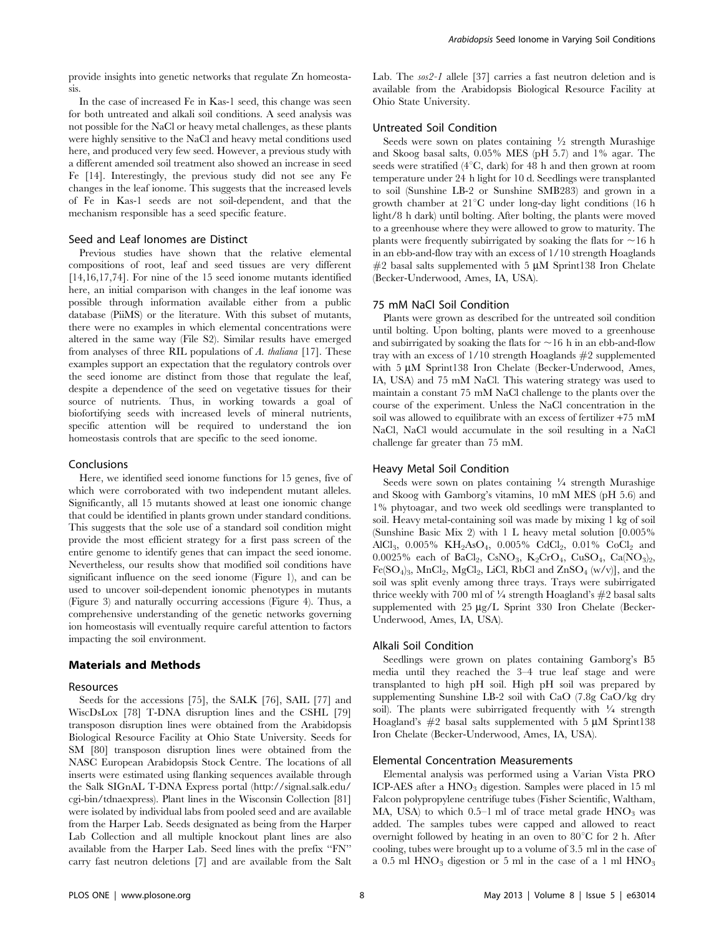provide insights into genetic networks that regulate Zn homeostasis.

In the case of increased Fe in Kas-1 seed, this change was seen for both untreated and alkali soil conditions. A seed analysis was not possible for the NaCl or heavy metal challenges, as these plants were highly sensitive to the NaCl and heavy metal conditions used here, and produced very few seed. However, a previous study with a different amended soil treatment also showed an increase in seed Fe [14]. Interestingly, the previous study did not see any Fe changes in the leaf ionome. This suggests that the increased levels of Fe in Kas-1 seeds are not soil-dependent, and that the mechanism responsible has a seed specific feature.

### Seed and Leaf Ionomes are Distinct

Previous studies have shown that the relative elemental compositions of root, leaf and seed tissues are very different [14,16,17,74]. For nine of the 15 seed ionome mutants identified here, an initial comparison with changes in the leaf ionome was possible through information available either from a public database (PiiMS) or the literature. With this subset of mutants, there were no examples in which elemental concentrations were altered in the same way (File S2). Similar results have emerged from analyses of three RIL populations of A. thaliana [17]. These examples support an expectation that the regulatory controls over the seed ionome are distinct from those that regulate the leaf, despite a dependence of the seed on vegetative tissues for their source of nutrients. Thus, in working towards a goal of biofortifying seeds with increased levels of mineral nutrients, specific attention will be required to understand the ion homeostasis controls that are specific to the seed ionome.

#### Conclusions

Here, we identified seed ionome functions for 15 genes, five of which were corroborated with two independent mutant alleles. Significantly, all 15 mutants showed at least one ionomic change that could be identified in plants grown under standard conditions. This suggests that the sole use of a standard soil condition might provide the most efficient strategy for a first pass screen of the entire genome to identify genes that can impact the seed ionome. Nevertheless, our results show that modified soil conditions have significant influence on the seed ionome (Figure 1), and can be used to uncover soil-dependent ionomic phenotypes in mutants (Figure 3) and naturally occurring accessions (Figure 4). Thus, a comprehensive understanding of the genetic networks governing ion homeostasis will eventually require careful attention to factors impacting the soil environment.

#### Materials and Methods

#### Resources

Seeds for the accessions [75], the SALK [76], SAIL [77] and WiscDsLox [78] T-DNA disruption lines and the CSHL [79] transposon disruption lines were obtained from the Arabidopsis Biological Resource Facility at Ohio State University. Seeds for SM [80] transposon disruption lines were obtained from the NASC European Arabidopsis Stock Centre. The locations of all inserts were estimated using flanking sequences available through the Salk SIGnAL T-DNA Express portal (http://signal.salk.edu/ cgi-bin/tdnaexpress). Plant lines in the Wisconsin Collection [81] were isolated by individual labs from pooled seed and are available from the Harper Lab. Seeds designated as being from the Harper Lab Collection and all multiple knockout plant lines are also available from the Harper Lab. Seed lines with the prefix ''FN'' carry fast neutron deletions [7] and are available from the Salt Lab. The sos2-1 allele [37] carries a fast neutron deletion and is available from the Arabidopsis Biological Resource Facility at Ohio State University.

### Untreated Soil Condition

Seeds were sown on plates containing  $\frac{1}{2}$  strength Murashige and Skoog basal salts, 0.05% MES (pH 5.7) and 1% agar. The seeds were stratified ( $4^{\circ}$ C, dark) for 48 h and then grown at room temperature under 24 h light for 10 d. Seedlings were transplanted to soil (Sunshine LB-2 or Sunshine SMB283) and grown in a growth chamber at  $21^{\circ}$ C under long-day light conditions (16 h light/8 h dark) until bolting. After bolting, the plants were moved to a greenhouse where they were allowed to grow to maturity. The plants were frequently subirrigated by soaking the flats for  $\sim$ 16 h in an ebb-and-flow tray with an excess of 1/10 strength Hoaglands  $#2$  basal salts supplemented with 5  $\mu$ M Sprint138 Iron Chelate (Becker-Underwood, Ames, IA, USA).

#### 75 mM NaCl Soil Condition

Plants were grown as described for the untreated soil condition until bolting. Upon bolting, plants were moved to a greenhouse and subirrigated by soaking the flats for  $\sim$ 16 h in an ebb-and-flow tray with an excess of 1/10 strength Hoaglands #2 supplemented with 5 µM Sprint138 Iron Chelate (Becker-Underwood, Ames, IA, USA) and 75 mM NaCl. This watering strategy was used to maintain a constant 75 mM NaCl challenge to the plants over the course of the experiment. Unless the NaCl concentration in the soil was allowed to equilibrate with an excess of fertilizer +75 mM NaCl, NaCl would accumulate in the soil resulting in a NaCl challenge far greater than 75 mM.

#### Heavy Metal Soil Condition

Seeds were sown on plates containing  $\frac{1}{4}$  strength Murashige and Skoog with Gamborg's vitamins, 10 mM MES (pH 5.6) and 1% phytoagar, and two week old seedlings were transplanted to soil. Heavy metal-containing soil was made by mixing 1 kg of soil (Sunshine Basic Mix 2) with 1 L heavy metal solution [0.005% AlCl<sub>3</sub>, 0.005% KH<sub>2</sub>AsO<sub>4</sub>, 0.005% CdCl<sub>2</sub>, 0.01% CoCl<sub>2</sub> and 0.0025% each of BaCl<sub>2</sub>, CsNO<sub>3</sub>, K<sub>2</sub>CrO<sub>4</sub>, CuSO<sub>4</sub>, Ca(NO<sub>3</sub>)<sub>2</sub>,  $Fe(SO<sub>4</sub>)<sub>3</sub>$ , MnCl<sub>2</sub>, MgCl<sub>2</sub>, LiCl, RbCl and ZnSO<sub>4</sub> (w/v)], and the soil was split evenly among three trays. Trays were subirrigated thrice weekly with 700 ml of  $\frac{1}{4}$  strength Hoagland's  $\#2$  basal salts supplemented with 25 µg/L Sprint 330 Iron Chelate (Becker-Underwood, Ames, IA, USA).

## Alkali Soil Condition

Seedlings were grown on plates containing Gamborg's B5 media until they reached the 3–4 true leaf stage and were transplanted to high pH soil. High pH soil was prepared by supplementing Sunshine LB-2 soil with CaO (7.8g CaO/kg dry soil). The plants were subirrigated frequently with  $\frac{1}{4}$  strength Hoagland's  $#2$  basal salts supplemented with 5  $\mu$ M Sprint138 Iron Chelate (Becker-Underwood, Ames, IA, USA).

# Elemental Concentration Measurements

Elemental analysis was performed using a Varian Vista PRO ICP-AES after a  $HNO<sub>3</sub>$  digestion. Samples were placed in 15 ml Falcon polypropylene centrifuge tubes (Fisher Scientific, Waltham, MA, USA) to which  $0.5-1$  ml of trace metal grade  $HNO<sub>3</sub>$  was added. The samples tubes were capped and allowed to react overnight followed by heating in an oven to  $80^{\circ}$ C for 2 h. After cooling, tubes were brought up to a volume of 3.5 ml in the case of a 0.5 ml  $HNO<sub>3</sub>$  digestion or 5 ml in the case of a 1 ml  $HNO<sub>3</sub>$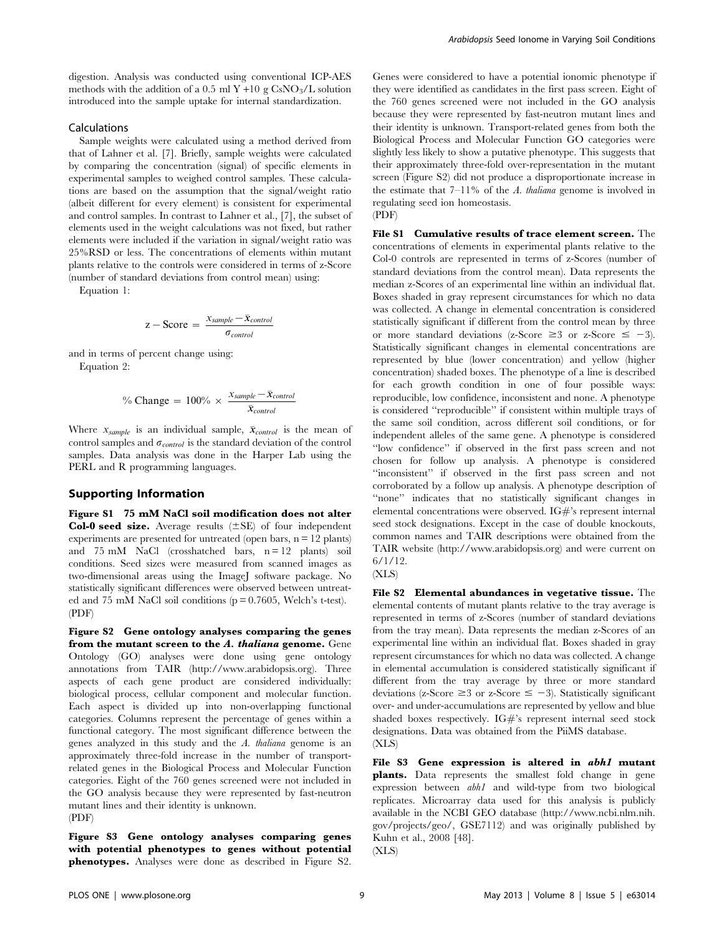digestion. Analysis was conducted using conventional ICP-AES methods with the addition of a 0.5 ml Y +10 g  $\text{CsNO}_3/\text{L}$  solution introduced into the sample uptake for internal standardization.

## Calculations

Sample weights were calculated using a method derived from that of Lahner et al. [7]. Briefly, sample weights were calculated by comparing the concentration (signal) of specific elements in experimental samples to weighed control samples. These calculations are based on the assumption that the signal/weight ratio (albeit different for every element) is consistent for experimental and control samples. In contrast to Lahner et al., [7], the subset of elements used in the weight calculations was not fixed, but rather elements were included if the variation in signal/weight ratio was 25%RSD or less. The concentrations of elements within mutant plants relative to the controls were considered in terms of z-Score (number of standard deviations from control mean) using:

Equation 1:

$$
z - Score = \frac{x_{sample} - \bar{x}_{control}}{\sigma_{control}}
$$

and in terms of percent change using: Equation 2:

% Change = 
$$
100\% \times \frac{x_{sample} - \bar{x}_{control}}{\bar{x}_{control}}
$$

Where  $x_{sample}$  is an individual sample,  $\bar{x}_{control}$  is the mean of control samples and  $\sigma_{control}$  is the standard deviation of the control samples. Data analysis was done in the Harper Lab using the PERL and R programming languages.

# Supporting Information

Figure S1 75 mM NaCl soil modification does not alter **Col-0 seed size.** Average results  $(\pm SE)$  of four independent experiments are presented for untreated (open bars,  $n = 12$  plants) and 75 mM NaCl (crosshatched bars, n = 12 plants) soil conditions. Seed sizes were measured from scanned images as two-dimensional areas using the ImageJ software package. No statistically significant differences were observed between untreated and 75 mM NaCl soil conditions ( $p = 0.7605$ , Welch's t-test). (PDF)

Figure S2 Gene ontology analyses comparing the genes from the mutant screen to the A. thaliana genome. Gene Ontology (GO) analyses were done using gene ontology annotations from TAIR (http://www.arabidopsis.org). Three aspects of each gene product are considered individually: biological process, cellular component and molecular function. Each aspect is divided up into non-overlapping functional categories. Columns represent the percentage of genes within a functional category. The most significant difference between the genes analyzed in this study and the A. thaliana genome is an approximately three-fold increase in the number of transportrelated genes in the Biological Process and Molecular Function categories. Eight of the 760 genes screened were not included in the GO analysis because they were represented by fast-neutron mutant lines and their identity is unknown. (PDF)

Figure S3 Gene ontology analyses comparing genes with potential phenotypes to genes without potential phenotypes. Analyses were done as described in Figure S2.

Genes were considered to have a potential ionomic phenotype if they were identified as candidates in the first pass screen. Eight of the 760 genes screened were not included in the GO analysis because they were represented by fast-neutron mutant lines and their identity is unknown. Transport-related genes from both the Biological Process and Molecular Function GO categories were slightly less likely to show a putative phenotype. This suggests that their approximately three-fold over-representation in the mutant screen (Figure S2) did not produce a disproportionate increase in the estimate that  $7-11\%$  of the A. thaliana genome is involved in regulating seed ion homeostasis.

(PDF)

File S1 Cumulative results of trace element screen. The concentrations of elements in experimental plants relative to the Col-0 controls are represented in terms of z-Scores (number of standard deviations from the control mean). Data represents the median z-Scores of an experimental line within an individual flat. Boxes shaded in gray represent circumstances for which no data was collected. A change in elemental concentration is considered statistically significant if different from the control mean by three or more standard deviations (z-Score  $\geq 3$  or z-Score  $\leq -3$ ). Statistically significant changes in elemental concentrations are represented by blue (lower concentration) and yellow (higher concentration) shaded boxes. The phenotype of a line is described for each growth condition in one of four possible ways: reproducible, low confidence, inconsistent and none. A phenotype is considered ''reproducible'' if consistent within multiple trays of the same soil condition, across different soil conditions, or for independent alleles of the same gene. A phenotype is considered ''low confidence'' if observed in the first pass screen and not chosen for follow up analysis. A phenotype is considered ''inconsistent'' if observed in the first pass screen and not corroborated by a follow up analysis. A phenotype description of ''none'' indicates that no statistically significant changes in elemental concentrations were observed. IG#'s represent internal seed stock designations. Except in the case of double knockouts, common names and TAIR descriptions were obtained from the TAIR website (http://www.arabidopsis.org) and were current on 6/1/12.



File S2 Elemental abundances in vegetative tissue. The elemental contents of mutant plants relative to the tray average is represented in terms of z-Scores (number of standard deviations from the tray mean). Data represents the median z-Scores of an experimental line within an individual flat. Boxes shaded in gray represent circumstances for which no data was collected. A change in elemental accumulation is considered statistically significant if different from the tray average by three or more standard deviations (z-Score  $\geq$  3 or z-Score  $\leq$  -3). Statistically significant over- and under-accumulations are represented by yellow and blue shaded boxes respectively.  $IG\#$ 's represent internal seed stock designations. Data was obtained from the PiiMS database. (XLS)

File S3 Gene expression is altered in abh1 mutant plants. Data represents the smallest fold change in gene expression between abh1 and wild-type from two biological replicates. Microarray data used for this analysis is publicly available in the NCBI GEO database (http://www.ncbi.nlm.nih. gov/projects/geo/, GSE7112) and was originally published by Kuhn et al., 2008 [48]. (XLS)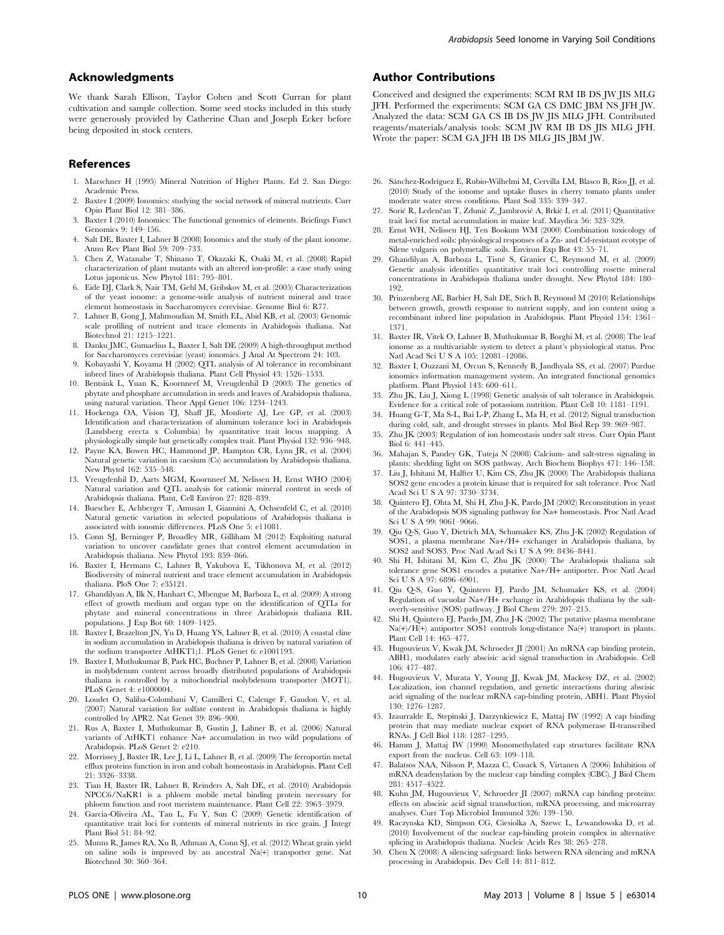## Acknowledgments

We thank Sarah Ellison, Taylor Cohen and Scott Curran for plant cultivation and sample collection. Some seed stocks included in this study were generously provided by Catherine Chan and Joseph Ecker before being deposited in stock centers.

#### References

- 1. Marschner H (1995) Mineral Nutrition of Higher Plants. Ed 2. San Diego: Academic Press.
- 2. Baxter I (2009) Ionomics: studying the social network of mineral nutrients. Curr Opin Plant Biol 12: 381–386.
- 3. Baxter I (2010) Ionomics: The functional genomics of elements. Briefings Funct Genomics 9: 149–156.
- 4. Salt DE, Baxter I, Lahner B (2008) Ionomics and the study of the plant ionome. Annu Rev Plant Biol 59: 709–733.
- 5. Chen Z, Watanabe T, Shinano T, Okazaki K, Osaki M, et al. (2008) Rapid characterization of plant mutants with an altered ion-profile: a case study using Lotus japonicus. New Phytol 181: 795–801.
- 6. Eide DJ, Clark S, Nair TM, Gehl M, Gribskov M, et al. (2005) Characterization of the yeast ionome: a genome-wide analysis of nutrient mineral and trace element homeostasis in Saccharomyces cerevisiae. Genome Biol 6: R77.
- 7. Lahner B, Gong J, Mahmoudian M, Smith EL, Abid KB, et al. (2003) Genomic scale profiling of nutrient and trace elements in Arabidopsis thaliana. Nat Biotechnol 21: 1215–1221.
- 8. Danku JMC, Gumaelius L, Baxter I, Salt DE (2009) A high-throughput method for Saccharomyces cerevisiae (yeast) ionomics. J Anal At Spectrom 24: 103.
- 9. Kobayashi Y, Koyama H (2002) QTL analysis of Al tolerance in recombinant inbred lines of Arabidopsis thaliana. Plant Cell Physiol 43: 1526–1533.
- 10. Bentsink L, Yuan K, Koornneef M, Vreugdenhil D (2003) The genetics of phytate and phosphate accumulation in seeds and leaves of Arabidopsis thaliana, using natural variation. Theor Appl Genet 106: 1234–1243.
- 11. Hoekenga OA, Vision TJ, Shaff JE, Monforte AJ, Lee GP, et al. (2003) Identification and characterization of aluminum tolerance loci in Arabidopsis (Landsberg erecta x Columbia) by quantitative trait locus mapping. A physiologically simple but genetically complex trait. Plant Physiol 132: 936–948.
- 12. Payne KA, Bowen HC, Hammond JP, Hampton CR, Lynn JR, et al. (2004) Natural genetic variation in caesium (Cs) accumulation by Arabidopsis thaliana. New Phytol 162: 535–548.
- 13. Vreugdenhil D, Aarts MGM, Koornneef M, Nelissen H, Ernst WHO (2004) Natural variation and QTL analysis for cationic mineral content in seeds of Arabidopsis thaliana. Plant, Cell Environ 27: 828–839.
- 14. Buescher E, Achberger T, Amusan I, Giannini A, Ochsenfeld C, et al. (2010) Natural genetic variation in selected populations of Arabidopsis thaliana is associated with ionomic differences. PLoS One 5: e11081.
- 15. Conn SJ, Berninger P, Broadley MR, Gilliham M (2012) Exploiting natural variation to uncover candidate genes that control element accumulation in Arabidopsis thaliana. New Phytol 193: 859–866.
- 16. Baxter I, Hermans C, Lahner B, Yakubova E, Tikhonova M, et al. (2012) Biodiversity of mineral nutrient and trace element accumulation in Arabidopsis thaliana. PloS One 7: e35121.
- 17. Ghandilyan A, Ilk N, Hanhart C, Mbengue M, Barboza L, et al. (2009) A strong effect of growth medium and organ type on the identification of QTLs for phytate and mineral concentrations in three Arabidopsis thaliana RIL populations. J Exp Bot 60: 1409–1425.
- 18. Baxter I, Brazelton JN, Yu D, Huang YS, Lahner B, et al. (2010) A coastal cline in sodium accumulation in Arabidopsis thaliana is driven by natural variation of the sodium transporter AtHKT1;1. PLoS Genet 6: e1001193.
- 19. Baxter I, Muthukumar B, Park HC, Buchner P, Lahner B, et al. (2008) Variation in molybdenum content across broadly distributed populations of Arabidopsis thaliana is controlled by a mitochondrial molybdenum transporter (MOT1). PLoS Genet 4: e1000004.
- 20. Loudet O, Saliba-Colombani V, Camilleri C, Calenge F, Gaudon V, et al. (2007) Natural variation for sulfate content in Arabidopsis thaliana is highly controlled by APR2. Nat Genet 39: 896–900.
- 21. Rus A, Baxter I, Muthukumar B, Gustin J, Lahner B, et al. (2006) Natural variants of AtHKT1 enhance Na+ accumulation in two wild populations of Arabidopsis. PLoS Genet 2: e210.
- 22. Morrissey J, Baxter IR, Lee J, Li L, Lahner B, et al. (2009) The ferroportin metal efflux proteins function in iron and cobalt homeostasis in Arabidopsis. Plant Cell 21: 3326–3338.
- 23. Tian H, Baxter IR, Lahner B, Reinders A, Salt DE, et al. (2010) Arabidopsis NPCC6/NaKR1 is a phloem mobile metal binding protein necessary for phloem function and root meristem maintenance. Plant Cell 22: 3963–3979.
- 24. Garcia-Oliveira AL, Tan L, Fu Y, Sun C (2009) Genetic identification of quantitative trait loci for contents of mineral nutrients in rice grain. J Integr Plant Biol 51: 84–92.
- 25. Munns R, James RA, Xu B, Athman A, Conn SJ, et al. (2012) Wheat grain yield on saline soils is improved by an ancestral Na(+) transporter gene. Nat Biotechnol 30: 360–364.

# Author Contributions

Conceived and designed the experiments: SCM RM IB DS JW JIS MLG JFH. Performed the experiments: SCM GA CS DMC JBM NS JFH JW. Analyzed the data: SCM GA CS IB DS JW JIS MLG JFH. Contributed reagents/materials/analysis tools: SCM JW RM IB DS JIS MLG JFH. Wrote the paper: SCM GA JFH IB DS MLG JIS JBM JW.

- 26. Sánchez-Rodríguez E, Rubio-Wilhelmi M, Cervilla LM, Blasco B, Rios JJ, et al. (2010) Study of the ionome and uptake fluxes in cherry tomato plants under moderate water stress conditions. Plant Soil 335: 339–347.
- 27. Sorić R, Ledenčan T, Zdunić Z, Jambrović A, Brkić I, et al. (2011) Quantitative trait loci for metal accumulation in maize leaf. Maydica 56: 323–329.
- 28. Ernst WH, Nelissen HJ, Ten Bookum WM (2000) Combination toxicology of metal-enriched soils: physiological responses of a Zn- and Cd-resistant ecotype of Silene vulgaris on polymetallic soils. Environ Exp Bot 43: 55–71.
- 29. Ghandilyan A, Barboza L, Tisné S, Granier C, Reymond M, et al. (2009) Genetic analysis identifies quantitative trait loci controlling rosette mineral concentrations in Arabidopsis thaliana under drought. New Phytol 184: 180– 192.
- 30. Prinzenberg AE, Barbier H, Salt DE, Stich B, Reymond M (2010) Relationships between growth, growth response to nutrient supply, and ion content using a recombinant inbred line population in Arabidopsis. Plant Physiol 154: 1361– 1371.
- 31. Baxter IR, Vitek O, Lahner B, Muthukumar B, Borghi M, et al. (2008) The leaf ionome as a multivariable system to detect a plant's physiological status. Proc Natl Acad Sci U S A 105: 12081–12086.
- 32. Baxter I, Ouzzani M, Orcun S, Kennedy B, Jandhyala SS, et al. (2007) Purdue ionomics information management system. An integrated functional genomics platform. Plant Physiol 143: 600–611.
- 33. Zhu JK, Liu J, Xiong L (1998) Genetic analysis of salt tolerance in Arabidopsis. Evidence for a critical role of potassium nutrition. Plant Cell 10: 1181–1191.
- 34. Huang G-T, Ma S-L, Bai L-P, Zhang L, Ma H, et al. (2012) Signal transduction during cold, salt, and drought stresses in plants. Mol Biol Rep 39: 969–987.
- 35. Zhu JK (2003) Regulation of ion homeostasis under salt stress. Curr Opin Plant Biol 6: 441–445.
- 36. Mahajan S, Pandey GK, Tuteja N (2008) Calcium- and salt-stress signaling in plants: shedding light on SOS pathway. Arch Biochem Biophys 471: 146–158.
- 37. Liu J, Ishitani M, Halfter U, Kim CS, Zhu JK (2000) The Arabidopsis thaliana SOS2 gene encodes a protein kinase that is required for salt tolerance. Proc Natl Acad Sci U S A 97: 3730–3734.
- 38. Quintero FJ, Ohta M, Shi H, Zhu J-K, Pardo JM (2002) Reconstitution in yeast of the Arabidopsis SOS signaling pathway for Na+ homeostasis. Proc Natl Acad Sci U S A 99: 9061–9066.
- 39. Qiu Q-S, Guo Y, Dietrich MA, Schumaker KS, Zhu J-K (2002) Regulation of SOS1, a plasma membrane Na+/H+ exchanger in Arabidopsis thaliana, by SOS2 and SOS3. Proc Natl Acad Sci U S A 99: 8436–8441.
- 40. Shi H, Ishitani M, Kim C, Zhu JK (2000) The Arabidopsis thaliana salt tolerance gene SOS1 encodes a putative Na+/H+ antiporter. Proc Natl Acad Sci U S A 97: 6896–6901.
- 41. Qiu Q-S, Guo Y, Quintero FJ, Pardo JM, Schumaker KS, et al. (2004) Regulation of vacuolar Na+/H+ exchange in Arabidopsis thaliana by the saltoverly-sensitive (SOS) pathway. J Biol Chem 279: 207–215.
- 42. Shi H, Quintero FJ, Pardo JM, Zhu J-K (2002) The putative plasma membrane Na(+)/H(+) antiporter SOS1 controls long-distance Na(+) transport in plants. Plant Cell 14: 465–477.
- 43. Hugouvieux V, Kwak JM, Schroeder JI (2001) An mRNA cap binding protein, ABH1, modulates early abscisic acid signal transduction in Arabidopsis. Cell 106: 477–487.
- 44. Hugouvieux V, Murata Y, Young JJ, Kwak JM, Mackesy DZ, et al. (2002) Localization, ion channel regulation, and genetic interactions during abscisic acid signaling of the nuclear mRNA cap-binding protein, ABH1. Plant Physiol 130: 1276–1287.
- 45. Izaurralde E, Stepinski J, Darzynkiewicz E, Mattaj IW (1992) A cap binding protein that may mediate nuclear export of RNA polymerase II-transcribed RNAs. J Cell Biol 118: 1287–1295.
- 46. Hamm J, Mattaj IW (1990) Monomethylated cap structures facilitate RNA export from the nucleus. Cell 63: 109–118.
- 47. Balatsos NAA, Nilsson P, Mazza C, Cusack S, Virtanen A (2006) Inhibition of mRNA deadenylation by the nuclear cap binding complex (CBC). J Biol Chem 281: 4517–4522.
- 48. Kuhn JM, Hugouvieux V, Schroeder JI (2007) mRNA cap binding proteins: effects on abscisic acid signal transduction, mRNA processing, and microarray analyses. Curr Top Microbiol Immunol 326: 139–150.
- 49. Raczynska KD, Simpson CG, Ciesiolka A, Szewc L, Lewandowska D, et al. (2010) Involvement of the nuclear cap-binding protein complex in alternative splicing in Arabidopsis thaliana. Nucleic Acids Res 38: 265–278.
- 50. Chen X (2008) A silencing safeguard: links between RNA silencing and mRNA processing in Arabidopsis. Dev Cell 14: 811–812.